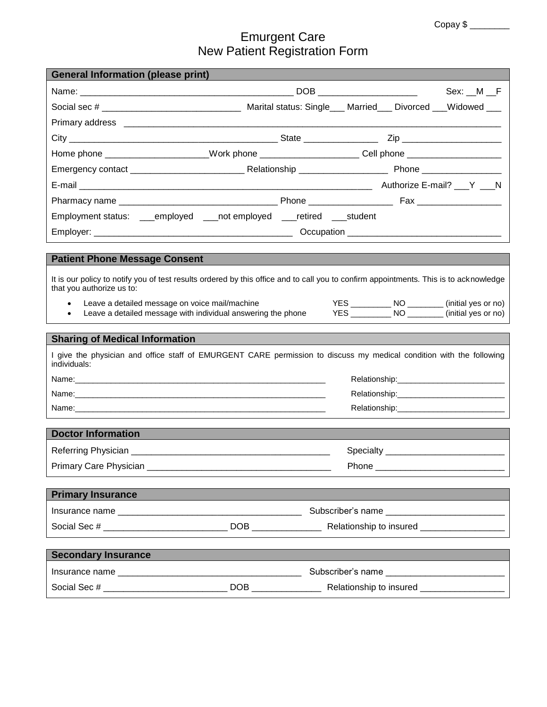# Emurgent Care New Patient Registration Form

| <b>General Information (please print)</b>                                                                                                                          |                                                                                                                      |  |
|--------------------------------------------------------------------------------------------------------------------------------------------------------------------|----------------------------------------------------------------------------------------------------------------------|--|
|                                                                                                                                                                    | Sex: M F                                                                                                             |  |
|                                                                                                                                                                    | Social sec # __________________________________ Marital status: Single___ Married___ Divorced ___Widowed ___         |  |
|                                                                                                                                                                    |                                                                                                                      |  |
|                                                                                                                                                                    |                                                                                                                      |  |
|                                                                                                                                                                    | Home phone ______________________Work phone ______________________Cell phone ______________________                  |  |
|                                                                                                                                                                    |                                                                                                                      |  |
|                                                                                                                                                                    |                                                                                                                      |  |
|                                                                                                                                                                    |                                                                                                                      |  |
|                                                                                                                                                                    | Employment status: ___employed ___not employed ___retired ___student                                                 |  |
|                                                                                                                                                                    |                                                                                                                      |  |
|                                                                                                                                                                    |                                                                                                                      |  |
| <b>Patient Phone Message Consent</b>                                                                                                                               |                                                                                                                      |  |
| It is our policy to notify you of test results ordered by this office and to call you to confirm appointments. This is to acknowledge<br>that you authorize us to: |                                                                                                                      |  |
| $\bullet$<br>$\bullet$                                                                                                                                             | Leave a detailed message on voice mail/machine<br>Leave a detailed message with individual answering the phone       |  |
|                                                                                                                                                                    |                                                                                                                      |  |
| <b>Sharing of Medical Information</b>                                                                                                                              |                                                                                                                      |  |
| individuals:                                                                                                                                                       | I give the physician and office staff of EMURGENT CARE permission to discuss my medical condition with the following |  |
|                                                                                                                                                                    |                                                                                                                      |  |
|                                                                                                                                                                    |                                                                                                                      |  |
|                                                                                                                                                                    | Relationship: 2000                                                                                                   |  |
| <b>Doctor Information</b>                                                                                                                                          |                                                                                                                      |  |
|                                                                                                                                                                    |                                                                                                                      |  |
| Primary Care Physician ______                                                                                                                                      | Phone ______                                                                                                         |  |
|                                                                                                                                                                    |                                                                                                                      |  |
| <b>Primary Insurance</b>                                                                                                                                           |                                                                                                                      |  |
|                                                                                                                                                                    | Subscriber's name _______________________________                                                                    |  |
|                                                                                                                                                                    |                                                                                                                      |  |
|                                                                                                                                                                    |                                                                                                                      |  |
| <b>Secondary Insurance</b>                                                                                                                                         |                                                                                                                      |  |
|                                                                                                                                                                    | Subscriber's name                                                                                                    |  |
|                                                                                                                                                                    |                                                                                                                      |  |
|                                                                                                                                                                    |                                                                                                                      |  |